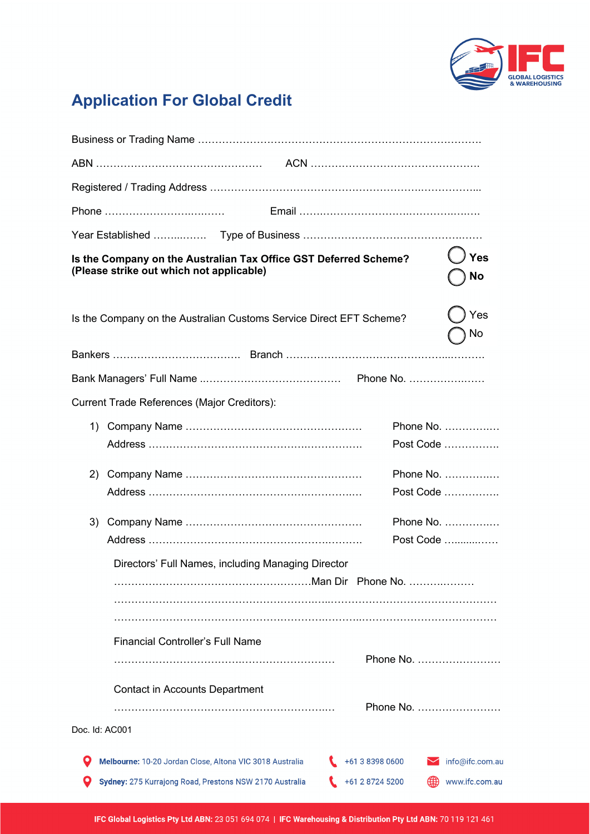

## **Application For Global Credit**

| Is the Company on the Australian Tax Office GST Deferred Scheme?<br>(Please strike out which not applicable) |                                                                                                                     |  |                                    | Yes<br>No                         |
|--------------------------------------------------------------------------------------------------------------|---------------------------------------------------------------------------------------------------------------------|--|------------------------------------|-----------------------------------|
| Is the Company on the Australian Customs Service Direct EFT Scheme?                                          |                                                                                                                     |  | Yes<br>No                          |                                   |
|                                                                                                              |                                                                                                                     |  |                                    |                                   |
|                                                                                                              |                                                                                                                     |  |                                    |                                   |
|                                                                                                              | Current Trade References (Major Creditors):                                                                         |  |                                    |                                   |
|                                                                                                              |                                                                                                                     |  |                                    | Phone No.<br>Post Code            |
| 2)                                                                                                           |                                                                                                                     |  |                                    | Phone No.<br>Post Code            |
| 3)                                                                                                           |                                                                                                                     |  |                                    | Phone No.<br>Post Code            |
|                                                                                                              | Directors' Full Names, including Managing Director                                                                  |  |                                    |                                   |
|                                                                                                              | <b>Financial Controller's Full Name</b>                                                                             |  |                                    | Phone No.                         |
|                                                                                                              | <b>Contact in Accounts Department</b>                                                                               |  |                                    | Phone No.                         |
| Doc. Id: AC001                                                                                               |                                                                                                                     |  |                                    |                                   |
|                                                                                                              | Melbourne: 10-20 Jordan Close, Altona VIC 3018 Australia<br>Sydney: 275 Kurrajong Road, Prestons NSW 2170 Australia |  | +61 3 8398 0600<br>+61 2 8724 5200 | info@ifc.com.au<br>www.ifc.com.au |